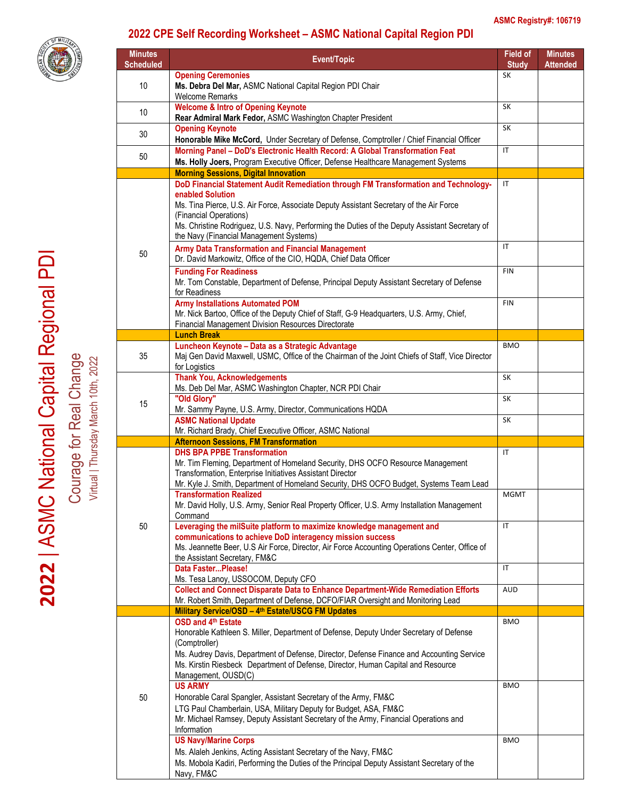

## **2022 CPE Self Recording Worksheet – ASMC National Capital Region PDI**

| <b>Minutes</b><br><b>Scheduled</b> | Event/Topic                                                                                                                                                                                                                           | Field of<br><b>Study</b> | <b>Minutes</b><br><b>Attended</b> |
|------------------------------------|---------------------------------------------------------------------------------------------------------------------------------------------------------------------------------------------------------------------------------------|--------------------------|-----------------------------------|
| 10                                 | <b>Opening Ceremonies</b><br>Ms. Debra Del Mar, ASMC National Capital Region PDI Chair<br><b>Welcome Remarks</b>                                                                                                                      | SK                       |                                   |
| 10                                 | <b>Welcome &amp; Intro of Opening Keynote</b><br>Rear Admiral Mark Fedor, ASMC Washington Chapter President                                                                                                                           | SK                       |                                   |
| 30                                 | <b>Opening Keynote</b><br>Honorable Mike McCord, Under Secretary of Defense, Comptroller / Chief Financial Officer                                                                                                                    | SK                       |                                   |
| 50                                 | Morning Panel - DoD's Electronic Health Record: A Global Transformation Feat<br>Ms. Holly Joers, Program Executive Officer, Defense Healthcare Management Systems                                                                     | IT                       |                                   |
|                                    | <b>Morning Sessions, Digital Innovation</b>                                                                                                                                                                                           |                          |                                   |
|                                    | DoD Financial Statement Audit Remediation through FM Transformation and Technology-<br>enabled Solution                                                                                                                               | IT                       |                                   |
|                                    | Ms. Tina Pierce, U.S. Air Force, Associate Deputy Assistant Secretary of the Air Force<br>(Financial Operations)                                                                                                                      |                          |                                   |
|                                    | Ms. Christine Rodriguez, U.S. Navy, Performing the Duties of the Deputy Assistant Secretary of<br>the Navy (Financial Management Systems)                                                                                             |                          |                                   |
| 50                                 | Army Data Transformation and Financial Management<br>Dr. David Markowitz, Office of the CIO, HQDA, Chief Data Officer                                                                                                                 | $\mathsf{I}$             |                                   |
|                                    | <b>Funding For Readiness</b><br>Mr. Tom Constable, Department of Defense, Principal Deputy Assistant Secretary of Defense<br>for Readiness                                                                                            | <b>FIN</b>               |                                   |
|                                    | <b>Army Installations Automated POM</b><br>Mr. Nick Bartoo, Office of the Deputy Chief of Staff, G-9 Headquarters, U.S. Army, Chief,<br>Financial Management Division Resources Directorate                                           | <b>FIN</b>               |                                   |
|                                    | <b>Lunch Break</b>                                                                                                                                                                                                                    |                          |                                   |
|                                    | Luncheon Keynote - Data as a Strategic Advantage                                                                                                                                                                                      | <b>BMO</b>               |                                   |
| 35                                 | Maj Gen David Maxwell, USMC, Office of the Chairman of the Joint Chiefs of Staff, Vice Director<br>for Logistics                                                                                                                      |                          |                                   |
|                                    | <b>Thank You, Acknowledgements</b><br>Ms. Deb Del Mar, ASMC Washington Chapter, NCR PDI Chair                                                                                                                                         | SK                       |                                   |
| 15                                 | "Old Glory"<br>Mr. Sammy Payne, U.S. Army, Director, Communications HQDA                                                                                                                                                              | SK                       |                                   |
|                                    | <b>ASMC National Update</b>                                                                                                                                                                                                           | SK                       |                                   |
|                                    | Mr. Richard Brady, Chief Executive Officer, ASMC National<br><b>Afternoon Sessions, FM Transformation</b>                                                                                                                             |                          |                                   |
|                                    | <b>DHS BPA PPBE Transformation</b>                                                                                                                                                                                                    | $\mathsf{I}$             |                                   |
|                                    | Mr. Tim Fleming, Department of Homeland Security, DHS OCFO Resource Management<br>Transformation, Enterprise Initiatives Assistant Director<br>Mr. Kyle J. Smith, Department of Homeland Security, DHS OCFO Budget, Systems Team Lead |                          |                                   |
|                                    | <b>Transformation Realized</b><br>Mr. David Holly, U.S. Army, Senior Real Property Officer, U.S. Army Installation Management                                                                                                         | <b>MGMT</b>              |                                   |
|                                    | Command                                                                                                                                                                                                                               | $\mathsf{I}\mathsf{T}$   |                                   |
| 50                                 | Leveraging the milSuite platform to maximize knowledge management and<br>communications to achieve DoD interagency mission success                                                                                                    |                          |                                   |
|                                    | Ms. Jeannette Beer, U.S Air Force, Director, Air Force Accounting Operations Center, Office of<br>the Assistant Secretary, FM&C                                                                                                       |                          |                                   |
|                                    | Data FasterPlease!<br>Ms. Tesa Lanoy, USSOCOM, Deputy CFO                                                                                                                                                                             | IT                       |                                   |
|                                    | Collect and Connect Disparate Data to Enhance Department-Wide Remediation Efforts<br>Mr. Robert Smith, Department of Defense, DCFO/FIAR Oversight and Monitoring Lead                                                                 | AUD                      |                                   |
|                                    | Military Service/OSD - 4th Estate/USCG FM Updates                                                                                                                                                                                     |                          |                                   |
| 50                                 | OSD and 4th Estate                                                                                                                                                                                                                    | <b>BMO</b>               |                                   |
|                                    | Honorable Kathleen S. Miller, Department of Defense, Deputy Under Secretary of Defense                                                                                                                                                |                          |                                   |
|                                    | (Comptroller)<br>Ms. Audrey Davis, Department of Defense, Director, Defense Finance and Accounting Service                                                                                                                            |                          |                                   |
|                                    | Ms. Kirstin Riesbeck Department of Defense, Director, Human Capital and Resource                                                                                                                                                      |                          |                                   |
|                                    | Management, OUSD(C)<br><b>US ARMY</b>                                                                                                                                                                                                 | <b>BMO</b>               |                                   |
|                                    | Honorable Caral Spangler, Assistant Secretary of the Army, FM&C                                                                                                                                                                       |                          |                                   |
|                                    | LTG Paul Chamberlain, USA, Military Deputy for Budget, ASA, FM&C                                                                                                                                                                      |                          |                                   |
|                                    | Mr. Michael Ramsey, Deputy Assistant Secretary of the Army, Financial Operations and                                                                                                                                                  |                          |                                   |
|                                    | Information<br><b>US Navy/Marine Corps</b>                                                                                                                                                                                            | <b>BMO</b>               |                                   |
|                                    | Ms. Alaleh Jenkins, Acting Assistant Secretary of the Navy, FM&C                                                                                                                                                                      |                          |                                   |
|                                    | Ms. Mobola Kadiri, Performing the Duties of the Principal Deputy Assistant Secretary of the                                                                                                                                           |                          |                                   |

Courage for Real Change Virtual | Thursday March 10th, 2022

Virtual | Thursday March 10th, 2022

Navy, FM&C